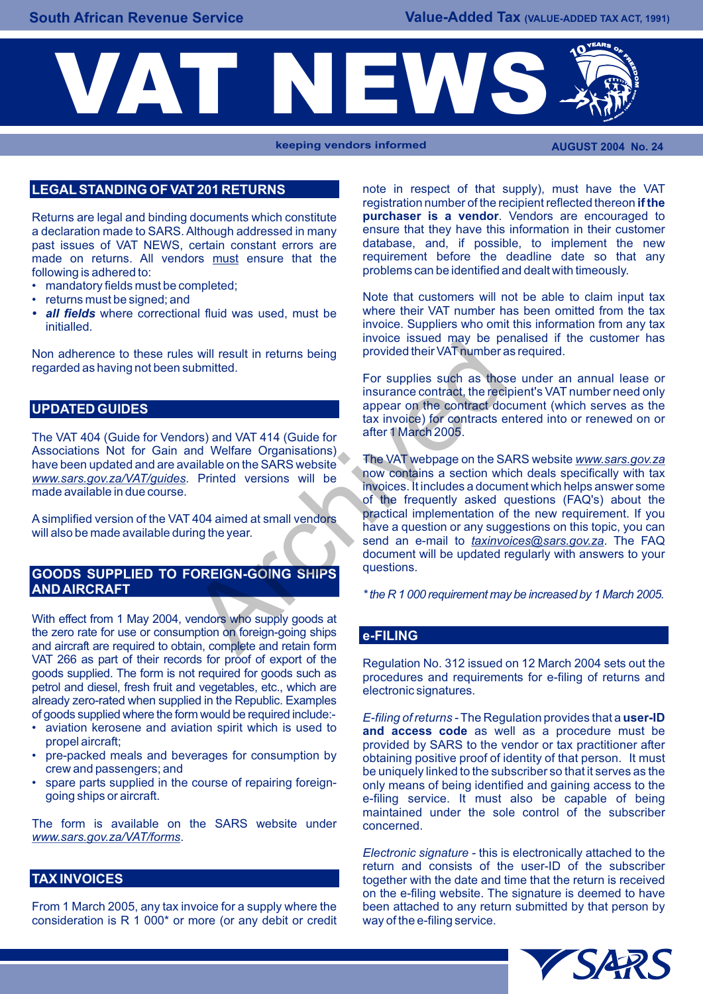

**keeping vendors informed AUGUST 2004 No. 24** 

# **LEGAL STANDING OF VAT 201 RETURNS**

Returns are legal and binding documents which constitute **purchaser is a vendor**. Vendors are encouraged to Return and to SARS Although addressed in many ensure that they have this information in their customer a declaration made to SARS. Although addressed in many ensure that they have this information in their customer past issues of VAT NEWS, certain constant errors are database, and, if possible, to implement the new<br>made on returns. All vendors must ensure that the requirement before the deadline date so that any made on returns. All vendors must ensure that the following is adhered to:

- mandatory fields must be completed;<br>• returns must be signed; and
- 
- all fields where correctional fluid was used, must be

Non adherence to these rules will result in returns being provided their VAT number as required. regarded as having not been submitted.

## **UPDATED GUIDES**

The VAT 404 (Guide for Vendors) and VAT 414 (Guide for Associations) Associations)

### **GOODS SUPPLIED TO FOREIGN-GOING SHIPS AND AIRCRAFT**

With effect from 1 May 2004, vendors who supply goods at the zero rate for use or consumption on foreign-going ships and aircraft are required to obtain, complete and retain form VAT 266 as part of their records for proof of export of the Regulation No. 312 issued on 12 March 2004 sets out the goods supplied. The form is not required for goods such as petrol and diesel, fresh fruit and vegetables, etc., which are already zero-rated when supplied in the Republic. Examples

- 
- 
- 

The form is available on the SARS website under concerned. *www.sars.gov.za/VAT/forms*.

## **TAX INVOICES**

From 1 March 2005, any tax invoice for a supply where the been attached to any return submitted by that person by consideration is R 1 000\* or more (or any debit or credit way of the e-filing service.

note in respect of that supply), must have the VAT registration number of the recipient reflected thereon **if the**  problems can be identified and dealt with timeously.

Note that customers will not be able to claim input tax where their VAT number has been omitted from the tax initialled. **initialled** intervention from any tax invoice. Suppliers who omit this information from any tax invoice issued may be penalised if the customer has

> For supplies such as those under an annual lease or insurance contract, the recipient's VAT number need only appear on the contract document (which serves as the tax invoice) for contracts entered into or renewed on or

The VAT webpage on the SARS website www.sars.gov.za<br>www.sars.gov.za/VAT/guides. Printed versions will be<br>made available in due course.<br>of the frequently asked questions (FAQ's) about the A simplified version of the VAT 404 aimed at small vendors<br>will also be made available during the year.<br>send an e-mail to *taxinvoices@sars.gov.za*. The FAQ document will be updated regularly with answers to your questions. Solution is the provided their VAT number and the submitted.<br>
For supplies such as those insurance contract, the recit appear on the contract do<br>
ors) and VAT 414 (Guide for after 1 March 2005.<br>
Ara invoice) for contracts

*\* the R 1 000 requirement may be increased by 1 March 2005.*

#### **e-FILING**

procedures and requirements for e-filing of returns and electronic signatures.

of goods supplied where the form would be required include:-<br>aviation kerosene and aviation spirit which is used to **and access code** as well as a procedure must be • aviation kerosene and aviation spirit which is used to **and access code** as well as a procedure must be propel aircraft;<br>pre-packed meals and beverages for consumption by provided by SARS to the vendor or tax practitioner after<br>pre-packed meals and beverages for consumption by phataining positive proof of identity of that pe pre-packed meals and beverages for consumption by obtaining positive proof of identity of that person. It must<br>Crew and passengers; and only intend to the subscriber so that it serves as the crew and passengers; and<br>spare parts supplied in the course of repairing foreign-<br>only means of being identified and gaining access to the spare parts supplied in the course of repairing foreign-<br>
e-filing service. It must also be capable of being e-filing service. It must also be capable of being maintained under the sole control of the subscriber

> *Electronic signature -* this is electronically attached to the return and consists of the user-ID of the subscriber together with the date and time that the return is received on the e-filing website. The signature is deemed to have